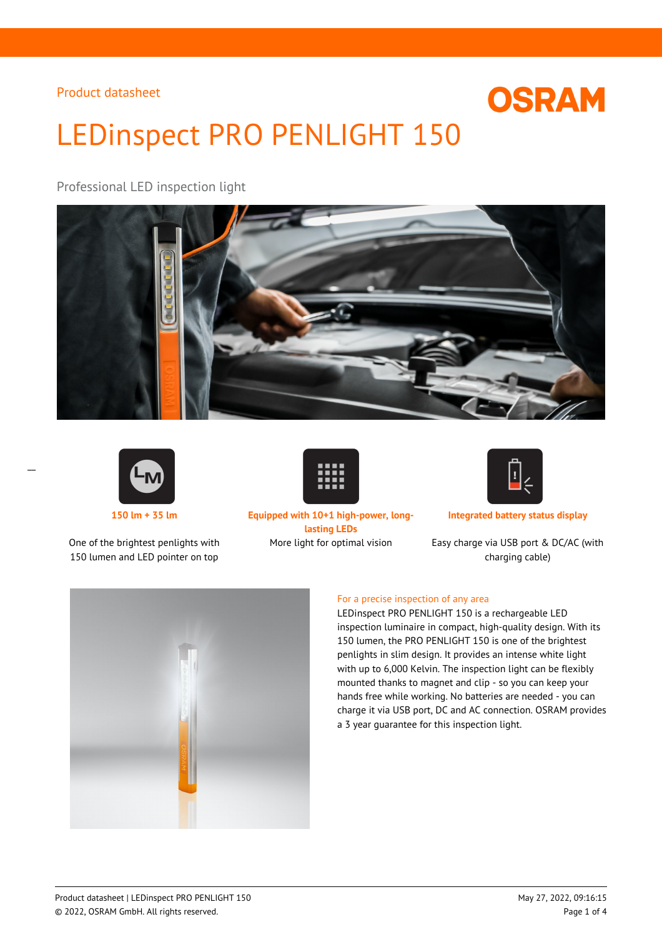# LEDinspect PRO PENLIGHT 150

# Professional LED inspection light





 $\overline{a}$ 

One of the brightest penlights with 150 lumen and LED pointer on top



**150 lm + 35 lm Equipped with 10+1 high-power, longlasting LEDs**

∐.

**Integrated battery status display**

**OSRAM** 

More light for optimal vision Easy charge via USB port & DC/AC (with charging cable)



#### For a precise inspection of any area

LEDinspect PRO PENLIGHT 150 is a rechargeable LED inspection luminaire in compact, high-quality design. With its 150 lumen, the PRO PENLIGHT 150 is one of the brightest penlights in slim design. It provides an intense white light with up to 6,000 Kelvin. The inspection light can be flexibly mounted thanks to magnet and clip - so you can keep your hands free while working. No batteries are needed - you can charge it via USB port, DC and AC connection. OSRAM provides a 3 year guarantee for this inspection light.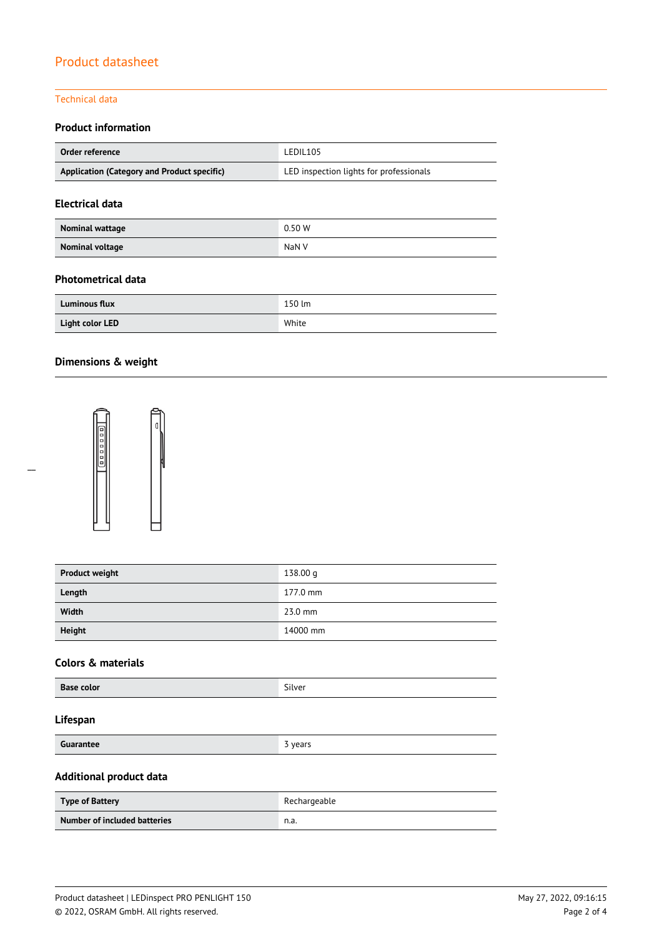#### Technical data

#### **Product information**

| Order reference                             | LEDIL105                                |  |
|---------------------------------------------|-----------------------------------------|--|
| Application (Category and Product specific) | LED inspection lights for professionals |  |

#### **Electrical data**

| Nominal wattage | 0.50W |
|-----------------|-------|
| Nominal voltage | NaN V |

#### **Photometrical data**

| <b>Luminous flux</b> | 150 lm |
|----------------------|--------|
| Light color LED      | White  |

# **Dimensions & weight**



| <b>Product weight</b> | 138.00 g  |
|-----------------------|-----------|
| Length                | 177.0 mm  |
| Width                 | $23.0$ mm |
| <b>Height</b>         | 14000 mm  |

#### **Colors & materials**

| <b>Base color</b> | $\sim$<br>silver |
|-------------------|------------------|
|-------------------|------------------|

#### **Lifespan**

**3** years

#### **Additional product data**

| <b>Type of Battery</b>       | Rechargeable |
|------------------------------|--------------|
| Number of included batteries | n.a.         |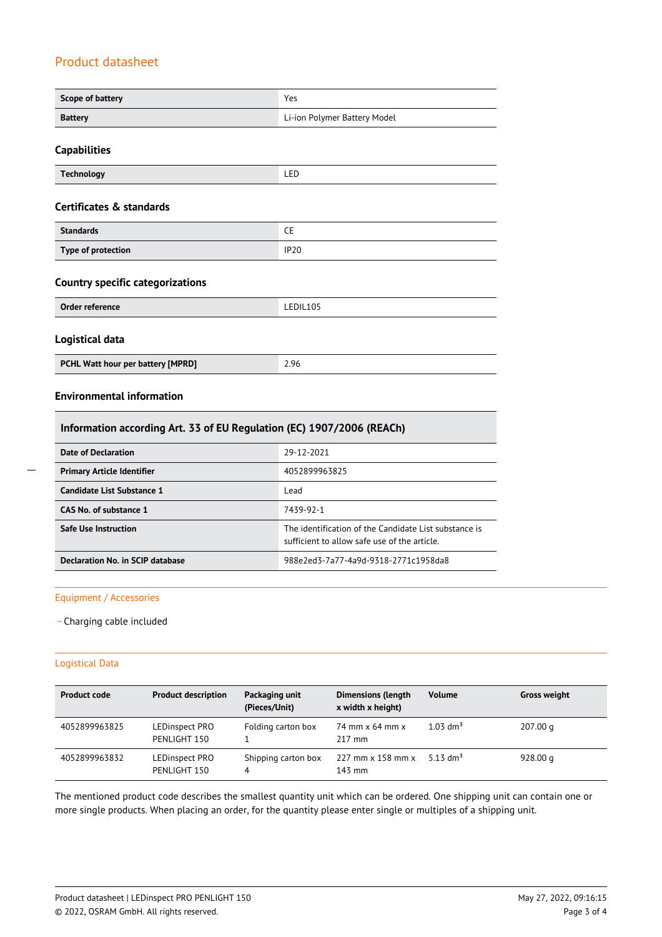| Scope of battery                                                      | Yes                                                                                                   |
|-----------------------------------------------------------------------|-------------------------------------------------------------------------------------------------------|
| <b>Battery</b>                                                        | Li-ion Polymer Battery Model                                                                          |
| <b>Capabilities</b>                                                   |                                                                                                       |
| <b>Technology</b>                                                     | LED                                                                                                   |
| Certificates & standards                                              |                                                                                                       |
| <b>Standards</b>                                                      | <b>CE</b>                                                                                             |
| Type of protection                                                    | <b>IP20</b>                                                                                           |
| <b>Country specific categorizations</b>                               |                                                                                                       |
| <b>Order reference</b>                                                | LEDIL105                                                                                              |
| Logistical data                                                       |                                                                                                       |
| PCHL Watt hour per battery [MPRD]                                     | 2.96                                                                                                  |
| <b>Environmental information</b>                                      |                                                                                                       |
| Information according Art. 33 of EU Regulation (EC) 1907/2006 (REACh) |                                                                                                       |
| <b>Date of Declaration</b>                                            | 29-12-2021                                                                                            |
| <b>Primary Article Identifier</b>                                     | 4052899963825                                                                                         |
| <b>Candidate List Substance 1</b>                                     | Lead                                                                                                  |
| CAS No. of substance 1                                                | 7439-92-1                                                                                             |
| <b>Safe Use Instruction</b>                                           | The identification of the Candidate List substance is<br>sufficient to allow safe use of the article. |

**Declaration No. in SCIP database** 988e2ed3-7a77-4a9d-9318-2771c1958da8

#### Equipment / Accessories

\_ Charging cable included

#### Logistical Data

| <b>Product code</b> | <b>Product description</b>     | Packaging unit<br>(Pieces/Unit) | <b>Dimensions (length</b><br>x width x height) | <b>Volume</b>          | <b>Gross weight</b> |
|---------------------|--------------------------------|---------------------------------|------------------------------------------------|------------------------|---------------------|
| 4052899963825       | LEDinspect PRO<br>PENLIGHT 150 | Folding carton box              | 74 mm x 64 mm x<br>$217 \text{ mm}$            | $1.03$ dm <sup>3</sup> | 207.00 g            |
| 4052899963832       | LEDinspect PRO<br>PENLIGHT 150 | Shipping carton box<br>4        | $227$ mm $\times$ 158 mm $\times$<br>143 mm    | 5.13 dm <sup>3</sup>   | 928.00 $q$          |

The mentioned product code describes the smallest quantity unit which can be ordered. One shipping unit can contain one or more single products. When placing an order, for the quantity please enter single or multiples of a shipping unit.

 $\overline{a}$